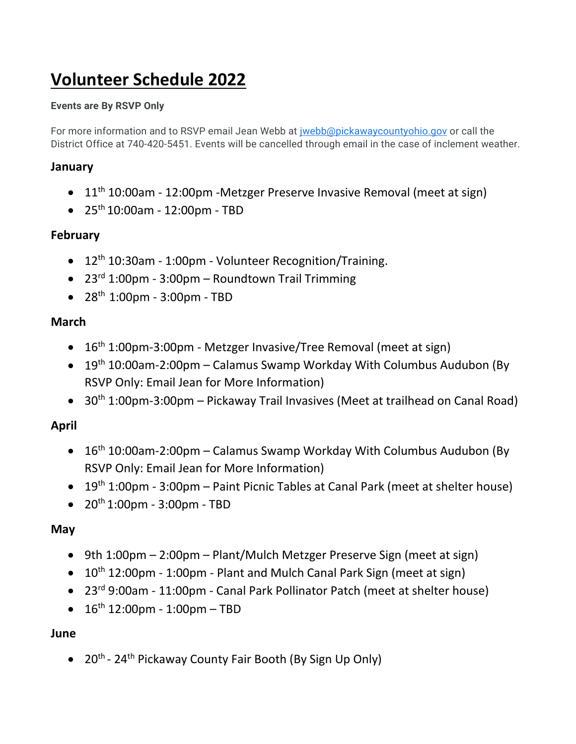# **Volunteer Schedule 2022**

#### **Events are By RSVP Only**

For more information and to RSVP email Jean Webb at [jwebb@pickawaycountyohio.gov](mailto:jwebb@pickawaycountyohio.gov) or call the District Office at 740-420-5451. Events will be cancelled through email in the case of inclement weather.

### **January**

- 11<sup>th</sup> 10:00am 12:00pm -Metzger Preserve Invasive Removal (meet at sign)
- $\bullet$  25<sup>th</sup> 10:00am 12:00pm TBD

#### **February**

- 12<sup>th</sup> 10:30am 1:00pm Volunteer Recognition/Training.
- $23<sup>rd</sup> 1:00pm 3:00pm Roundtown Train Trimming$
- $28^{th}$  1:00pm 3:00pm TBD

#### **March**

- $\bullet$  16<sup>th</sup> 1:00pm-3:00pm Metzger Invasive/Tree Removal (meet at sign)
- 19<sup>th</sup> 10:00am-2:00pm Calamus Swamp Workday With Columbus Audubon (By RSVP Only: Email Jean for More Information)
- 30<sup>th</sup> 1:00pm-3:00pm Pickaway Trail Invasives (Meet at trailhead on Canal Road)

# **April**

- $16<sup>th</sup> 10:00am-2:00pm Calamus Swamp Workday With Columbus Audubon (By$ RSVP Only: Email Jean for More Information)
- $19<sup>th</sup> 1:00<sub>pm</sub> 3:00<sub>pm</sub> Paint Picnic Tables at Canal Park (meet at shelfer house)$
- $20^{th}$  1:00pm 3:00pm TBD

#### **May**

- 9th 1:00pm 2:00pm Plant/Mulch Metzger Preserve Sign (meet at sign)
- 10<sup>th</sup> 12:00pm 1:00pm Plant and Mulch Canal Park Sign (meet at sign)
- 23rd 9:00am 11:00pm Canal Park Pollinator Patch (meet at shelter house)
- $16^{th}$  12:00pm 1:00pm TBD

#### **June**

• 20<sup>th</sup> - 24<sup>th</sup> Pickaway County Fair Booth (By Sign Up Only)